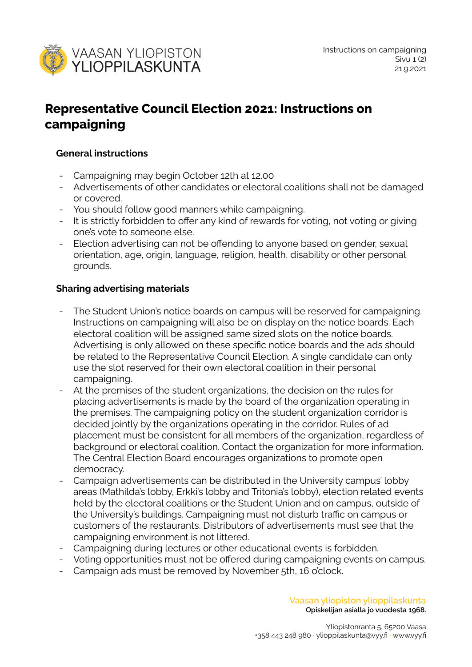

# **Representative Council Election 2021: Instructions on campaigning**

### **General instructions**

- Campaigning may begin October 12th at 12.00
- Advertisements of other candidates or electoral coalitions shall not be damaged or covered.
- You should follow good manners while campaigning.
- It is strictly forbidden to offer any kind of rewards for voting, not voting or giving one's vote to someone else.
- Election advertising can not be offending to anyone based on gender, sexual orientation, age, origin, language, religion, health, disability or other personal grounds.

## **Sharing advertising materials**

- The Student Union's notice boards on campus will be reserved for campaigning. Instructions on campaigning will also be on display on the notice boards. Each electoral coalition will be assigned same sized slots on the notice boards. Advertising is only allowed on these specific notice boards and the ads should be related to the Representative Council Election. A single candidate can only use the slot reserved for their own electoral coalition in their personal campaigning.
- At the premises of the student organizations, the decision on the rules for placing advertisements is made by the board of the organization operating in the premises. The campaigning policy on the student organization corridor is decided jointly by the organizations operating in the corridor. Rules of ad placement must be consistent for all members of the organization, regardless of background or electoral coalition. Contact the organization for more information. The Central Election Board encourages organizations to promote open democracy.
- Campaign advertisements can be distributed in the University campus' lobby areas (Mathilda's lobby, Erkki's lobby and Tritonia's lobby), election related events held by the electoral coalitions or the Student Union and on campus, outside of the University's buildings. Campaigning must not disturb traffic on campus or customers of the restaurants. Distributors of advertisements must see that the campaigning environment is not littered.
- Campaigning during lectures or other educational events is forbidden.
- Voting opportunities must not be offered during campaigning events on campus.
- Campaign ads must be removed by November 5th, 16 o'clock.

**Vaasan yliopiston ylioppilaskunta Opiskelijan asialla jo vuodesta 1968.**